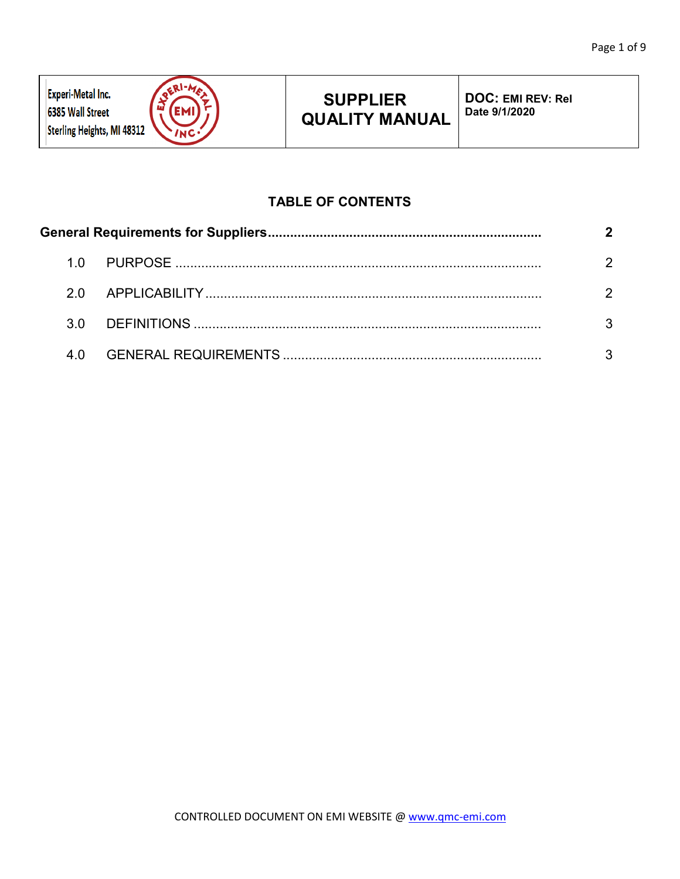

# **SUPPLIER QUALITY MANUAL**

**DOC: EMI REV: Rel Date 9/1/2020**

## **TABLE OF CONTENTS**

|  | 1 N  |  |  |  |  |
|--|------|--|--|--|--|
|  | 2 Q. |  |  |  |  |
|  | 3 O  |  |  |  |  |
|  | 4 Q  |  |  |  |  |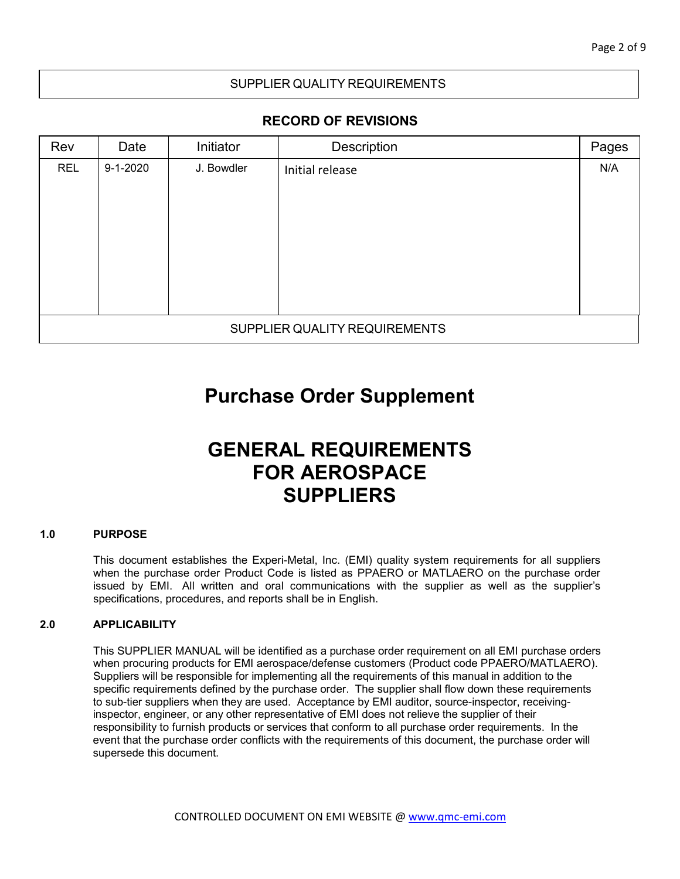## SUPPLIER QUALITY REQUIREMENTS

## **RECORD OF REVISIONS**

| Rev                           | Date           | Initiator  | Description     | Pages |  |  |  |
|-------------------------------|----------------|------------|-----------------|-------|--|--|--|
| <b>REL</b>                    | $9 - 1 - 2020$ | J. Bowdler | Initial release | N/A   |  |  |  |
|                               |                |            |                 |       |  |  |  |
|                               |                |            |                 |       |  |  |  |
|                               |                |            |                 |       |  |  |  |
|                               |                |            |                 |       |  |  |  |
|                               |                |            |                 |       |  |  |  |
|                               |                |            |                 |       |  |  |  |
| SUPPLIER QUALITY REQUIREMENTS |                |            |                 |       |  |  |  |

## **Purchase Order Supplement**

# **GENERAL REQUIREMENTS FOR AEROSPACE SUPPLIERS**

#### <span id="page-1-0"></span>**1.0 PURPOSE**

This document establishes the Experi-Metal, Inc. (EMI) quality system requirements for all suppliers when the purchase order Product Code is listed as PPAERO or MATLAERO on the purchase order issued by EMI. All written and oral communications with the supplier as well as the supplier's specifications, procedures, and reports shall be in English.

#### <span id="page-1-1"></span>**2.0 APPLICABILITY**

<span id="page-1-2"></span>This SUPPLIER MANUAL will be identified as a purchase order requirement on all EMI purchase orders when procuring products for EMI aerospace/defense customers (Product code PPAERO/MATLAERO). Suppliers will be responsible for implementing all the requirements of this manual in addition to the specific requirements defined by the purchase order. The supplier shall flow down these requirements to sub-tier suppliers when they are used. Acceptance by EMI auditor, source-inspector, receivinginspector, engineer, or any other representative of EMI does not relieve the supplier of their responsibility to furnish products or services that conform to all purchase order requirements. In the event that the purchase order conflicts with the requirements of this document, the purchase order will supersede this document.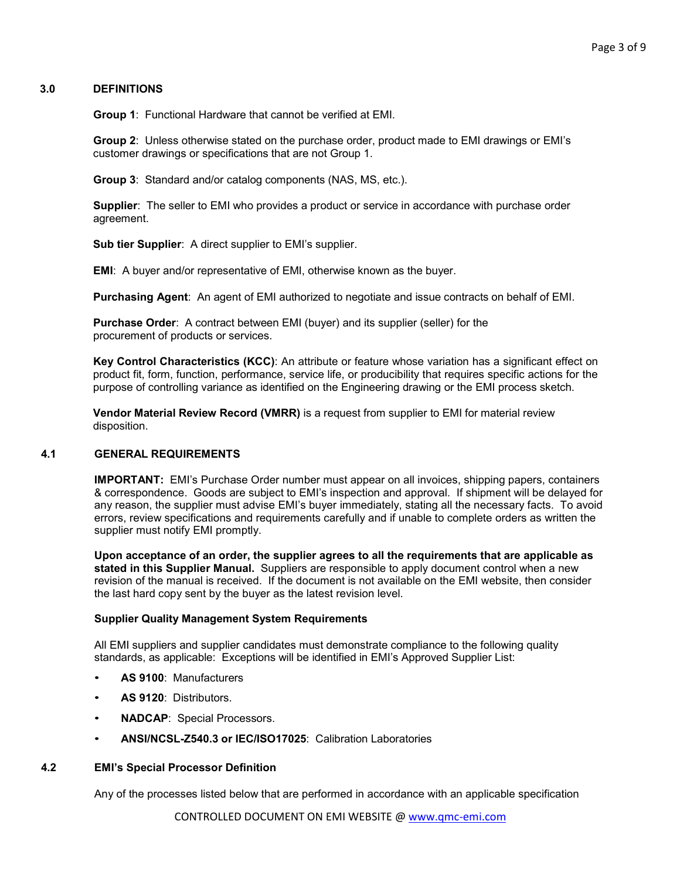#### **3.0 DEFINITIONS**

**Group 1**: Functional Hardware that cannot be verified at EMI.

**Group 2**: Unless otherwise stated on the purchase order, product made to EMI drawings or EMI's customer drawings or specifications that are not Group 1.

**Group 3**: Standard and/or catalog components (NAS, MS, etc.).

**Supplier**: The seller to EMI who provides a product or service in accordance with purchase order agreement.

**Sub tier Supplier**: A direct supplier to EMI's supplier.

**EMI**: A buyer and/or representative of EMI, otherwise known as the buyer.

**Purchasing Agent**: An agent of EMI authorized to negotiate and issue contracts on behalf of EMI.

**Purchase Order**: A contract between EMI (buyer) and its supplier (seller) for the procurement of products or services.

**Key Control Characteristics (KCC)**: An attribute or feature whose variation has a significant effect on product fit, form, function, performance, service life, or producibility that requires specific actions for the purpose of controlling variance as identified on the Engineering drawing or the EMI process sketch.

**Vendor Material Review Record (VMRR)** is a request from supplier to EMI for material review disposition.

#### **4.1 GENERAL REQUIREMENTS**

**IMPORTANT:** EMI's Purchase Order number must appear on all invoices, shipping papers, containers & correspondence. Goods are subject to EMI's inspection and approval. If shipment will be delayed for any reason, the supplier must advise EMI's buyer immediately, stating all the necessary facts. To avoid errors, review specifications and requirements carefully and if unable to complete orders as written the supplier must notify EMI promptly.

**Upon acceptance of an order, the supplier agrees to all the requirements that are applicable as stated in this Supplier Manual.** Suppliers are responsible to apply document control when a new revision of the manual is received. If the document is not available on the EMI website, then consider the last hard copy sent by the buyer as the latest revision level.

#### **Supplier Quality Management System Requirements**

All EMI suppliers and supplier candidates must demonstrate compliance to the following quality standards, as applicable: Exceptions will be identified in EMI's Approved Supplier List:

- **AS 9100**: Manufacturers
- **AS 9120**: Distributors.
- **NADCAP**: Special Processors.
- **ANSI/NCSL-Z540.3 or IEC/ISO17025**: Calibration Laboratories

#### **4.2 EMI's Special Processor Definition**

Any of the processes listed below that are performed in accordance with an applicable specification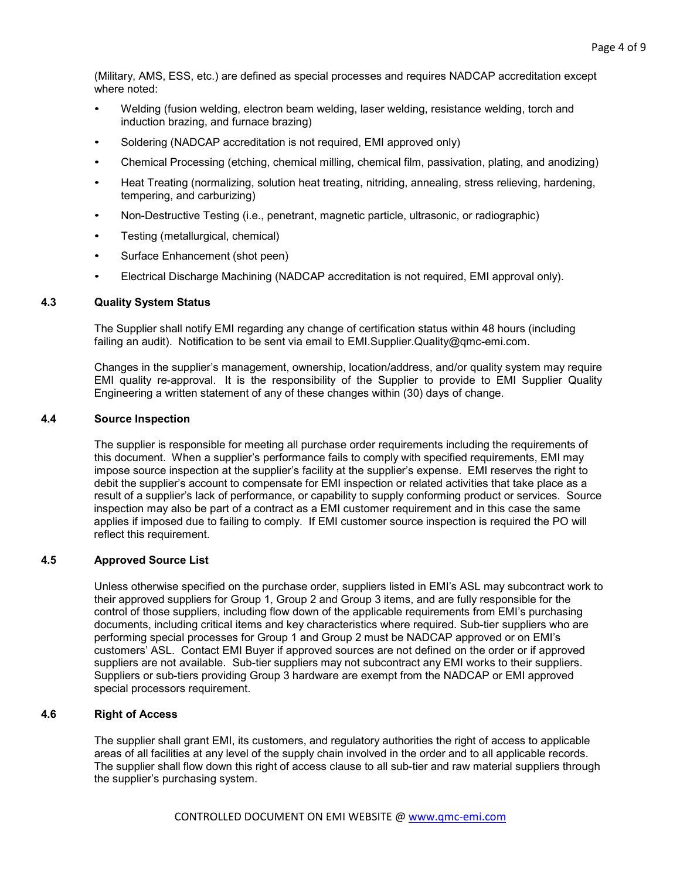(Military, AMS, ESS, etc.) are defined as special processes and requires NADCAP accreditation except where noted:

- Welding (fusion welding, electron beam welding, laser welding, resistance welding, torch and induction brazing, and furnace brazing)
- Soldering (NADCAP accreditation is not required, EMI approved only)
- Chemical Processing (etching, chemical milling, chemical film, passivation, plating, and anodizing)
- Heat Treating (normalizing, solution heat treating, nitriding, annealing, stress relieving, hardening, tempering, and carburizing)
- Non-Destructive Testing (i.e., penetrant, magnetic particle, ultrasonic, or radiographic)
- Testing (metallurgical, chemical)
- Surface Enhancement (shot peen)
- Electrical Discharge Machining (NADCAP accreditation is not required, EMI approval only).

#### **4.3 Quality System Status**

The Supplier shall notify EMI regarding any change of certification status within 48 hours (including failing an audit). Notification to be sent via email to EMI.Supplier.Quality@qmc-emi.com.

Changes in the supplier's management, ownership, location/address, and/or quality system may require EMI quality re-approval. It is the responsibility of the Supplier to provide to EMI Supplier Quality Engineering a written statement of any of these changes within (30) days of change.

### **4.4 Source Inspection**

The supplier is responsible for meeting all purchase order requirements including the requirements of this document. When a supplier's performance fails to comply with specified requirements, EMI may impose source inspection at the supplier's facility at the supplier's expense. EMI reserves the right to debit the supplier's account to compensate for EMI inspection or related activities that take place as a result of a supplier's lack of performance, or capability to supply conforming product or services. Source inspection may also be part of a contract as a EMI customer requirement and in this case the same applies if imposed due to failing to comply. If EMI customer source inspection is required the PO will reflect this requirement.

#### **4.5 Approved Source List**

Unless otherwise specified on the purchase order, suppliers listed in EMI's ASL may subcontract work to their approved suppliers for Group 1, Group 2 and Group 3 items, and are fully responsible for the control of those suppliers, including flow down of the applicable requirements from EMI's purchasing documents, including critical items and key characteristics where required. Sub-tier suppliers who are performing special processes for Group 1 and Group 2 must be NADCAP approved or on EMI's customers' ASL. Contact EMI Buyer if approved sources are not defined on the order or if approved suppliers are not available. Sub-tier suppliers may not subcontract any EMI works to their suppliers. Suppliers or sub-tiers providing Group 3 hardware are exempt from the NADCAP or EMI approved special processors requirement.

## **4.6 Right of Access**

The supplier shall grant EMI, its customers, and regulatory authorities the right of access to applicable areas of all facilities at any level of the supply chain involved in the order and to all applicable records. The supplier shall flow down this right of access clause to all sub-tier and raw material suppliers through the supplier's purchasing system.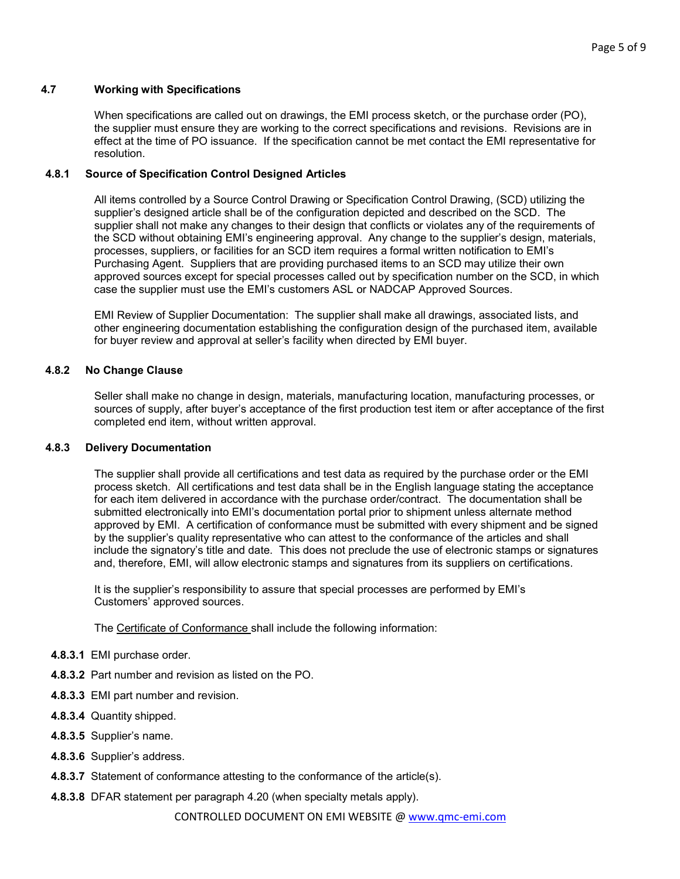#### **4.7 Working with Specifications**

When specifications are called out on drawings, the EMI process sketch, or the purchase order (PO), the supplier must ensure they are working to the correct specifications and revisions. Revisions are in effect at the time of PO issuance. If the specification cannot be met contact the EMI representative for resolution.

#### **4.8.1 Source of Specification Control Designed Articles**

All items controlled by a Source Control Drawing or Specification Control Drawing, (SCD) utilizing the supplier's designed article shall be of the configuration depicted and described on the SCD. The supplier shall not make any changes to their design that conflicts or violates any of the requirements of the SCD without obtaining EMI's engineering approval. Any change to the supplier's design, materials, processes, suppliers, or facilities for an SCD item requires a formal written notification to EMI's Purchasing Agent. Suppliers that are providing purchased items to an SCD may utilize their own approved sources except for special processes called out by specification number on the SCD, in which case the supplier must use the EMI's customers ASL or NADCAP Approved Sources.

EMI Review of Supplier Documentation: The supplier shall make all drawings, associated lists, and other engineering documentation establishing the configuration design of the purchased item, available for buyer review and approval at seller's facility when directed by EMI buyer.

#### **4.8.2 No Change Clause**

Seller shall make no change in design, materials, manufacturing location, manufacturing processes, or sources of supply, after buyer's acceptance of the first production test item or after acceptance of the first completed end item, without written approval.

#### **4.8.3 Delivery Documentation**

The supplier shall provide all certifications and test data as required by the purchase order or the EMI process sketch. All certifications and test data shall be in the English language stating the acceptance for each item delivered in accordance with the purchase order/contract. The documentation shall be submitted electronically into EMI's documentation portal prior to shipment unless alternate method approved by EMI. A certification of conformance must be submitted with every shipment and be signed by the supplier's quality representative who can attest to the conformance of the articles and shall include the signatory's title and date. This does not preclude the use of electronic stamps or signatures and, therefore, EMI, will allow electronic stamps and signatures from its suppliers on certifications.

It is the supplier's responsibility to assure that special processes are performed by EMI's Customers' approved sources.

The Certificate of Conformance shall include the following information:

- **4.8.3.1** EMI purchase order.
- **4.8.3.2** Part number and revision as listed on the PO.
- **4.8.3.3** EMI part number and revision.
- **4.8.3.4** Quantity shipped.
- **4.8.3.5** Supplier's name.
- **4.8.3.6** Supplier's address.
- **4.8.3.7** Statement of conformance attesting to the conformance of the article(s).
- **4.8.3.8** DFAR statement per paragraph 4.20 (when specialty metals apply).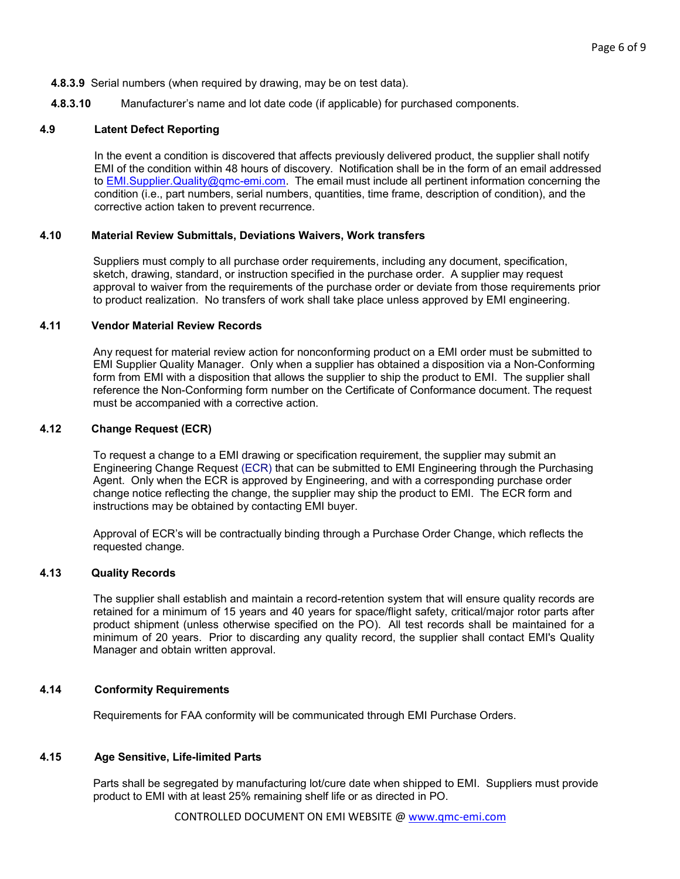#### **4.8.3.9** Serial numbers (when required by drawing, may be on test data).

**4.8.3.10** Manufacturer's name and lot date code (if applicable) for purchased components.

#### **4.9 Latent Defect Reporting**

In the event a condition is discovered that affects previously delivered product, the supplier shall notify EMI of the condition within 48 hours of discovery. Notification shall be in the form of an email addressed to EMI. Supplier. Quality@qmc-emi.com. The email must include all pertinent information concerning the condition (i.e., part numbers, serial numbers, quantities, time frame, description of condition), and the corrective action taken to prevent recurrence.

#### **4.10 Material Review Submittals, Deviations Waivers, Work transfers**

Suppliers must comply to all purchase order requirements, including any document, specification, sketch, drawing, standard, or instruction specified in the purchase order. A supplier may request approval to waiver from the requirements of the purchase order or deviate from those requirements prior to product realization. No transfers of work shall take place unless approved by EMI engineering.

#### **4.11 Vendor Material Review Records**

Any request for material review action for nonconforming product on a EMI order must be submitted to EMI Supplier Quality Manager. Only when a supplier has obtained a disposition via a Non-Conforming form from EMI with a disposition that allows the supplier to ship the product to EMI. The supplier shall reference the Non-Conforming form number on the Certificate of Conformance document. The request must be accompanied with a corrective action.

### **4.12 Change Request (ECR)**

To request a change to a EMI drawing or specification requirement, the supplier may submit an Engineering Change Request (ECR) that can be submitted to EMI Engineering through the Purchasing Agent. Only when the ECR is approved by Engineering, and with a corresponding purchase order change notice reflecting the change, the supplier may ship the product to EMI. The ECR form and instructions may be obtained by contacting EMI buyer.

Approval of ECR's will be contractually binding through a Purchase Order Change, which reflects the requested change.

#### **4.13 Quality Records**

The supplier shall establish and maintain a record-retention system that will ensure quality records are retained for a minimum of 15 years and 40 years for space/flight safety, critical/major rotor parts after product shipment (unless otherwise specified on the PO). All test records shall be maintained for a minimum of 20 years. Prior to discarding any quality record, the supplier shall contact EMI's Quality Manager and obtain written approval.

#### **4.14 Conformity Requirements**

Requirements for FAA conformity will be communicated through EMI Purchase Orders.

#### **4.15 Age Sensitive, Life-limited Parts**

Parts shall be segregated by manufacturing lot/cure date when shipped to EMI. Suppliers must provide product to EMI with at least 25% remaining shelf life or as directed in PO.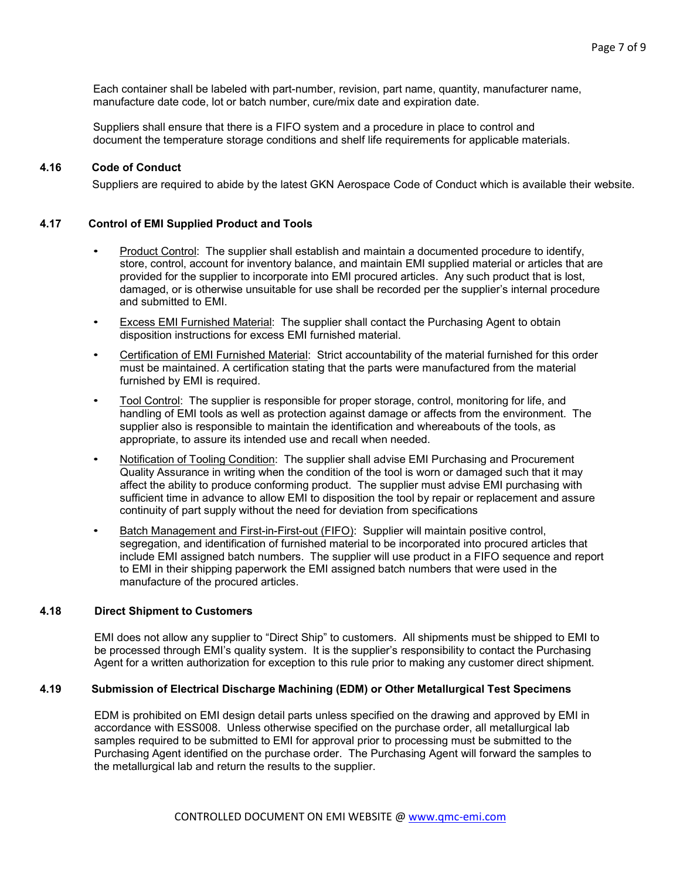Each container shall be labeled with part-number, revision, part name, quantity, manufacturer name, manufacture date code, lot or batch number, cure/mix date and expiration date.

Suppliers shall ensure that there is a FIFO system and a procedure in place to control and document the temperature storage conditions and shelf life requirements for applicable materials.

#### **4.16 Code of Conduct**

Suppliers are required to abide by the latest GKN Aerospace Code of Conduct which is available their website.

#### **4.17 Control of EMI Supplied Product and Tools**

- Product Control: The supplier shall establish and maintain a documented procedure to identify, store, control, account for inventory balance, and maintain EMI supplied material or articles that are provided for the supplier to incorporate into EMI procured articles. Any such product that is lost, damaged, or is otherwise unsuitable for use shall be recorded per the supplier's internal procedure and submitted to EMI.
- Excess EMI Furnished Material: The supplier shall contact the Purchasing Agent to obtain disposition instructions for excess EMI furnished material.
- Certification of EMI Furnished Material: Strict accountability of the material furnished for this order must be maintained. A certification stating that the parts were manufactured from the material furnished by EMI is required.
- Tool Control: The supplier is responsible for proper storage, control, monitoring for life, and handling of EMI tools as well as protection against damage or affects from the environment. The supplier also is responsible to maintain the identification and whereabouts of the tools, as appropriate, to assure its intended use and recall when needed.
- Notification of Tooling Condition: The supplier shall advise EMI Purchasing and Procurement Quality Assurance in writing when the condition of the tool is worn or damaged such that it may affect the ability to produce conforming product. The supplier must advise EMI purchasing with sufficient time in advance to allow EMI to disposition the tool by repair or replacement and assure continuity of part supply without the need for deviation from specifications
- Batch Management and First-in-First-out (FIFO): Supplier will maintain positive control, segregation, and identification of furnished material to be incorporated into procured articles that include EMI assigned batch numbers. The supplier will use product in a FIFO sequence and report to EMI in their shipping paperwork the EMI assigned batch numbers that were used in the manufacture of the procured articles.

#### **4.18 Direct Shipment to Customers**

EMI does not allow any supplier to "Direct Ship" to customers. All shipments must be shipped to EMI to be processed through EMI's quality system. It is the supplier's responsibility to contact the Purchasing Agent for a written authorization for exception to this rule prior to making any customer direct shipment.

#### **4.19 Submission of Electrical Discharge Machining (EDM) or Other Metallurgical Test Specimens**

EDM is prohibited on EMI design detail parts unless specified on the drawing and approved by EMI in accordance with ESS008. Unless otherwise specified on the purchase order, all metallurgical lab samples required to be submitted to EMI for approval prior to processing must be submitted to the Purchasing Agent identified on the purchase order. The Purchasing Agent will forward the samples to the metallurgical lab and return the results to the supplier.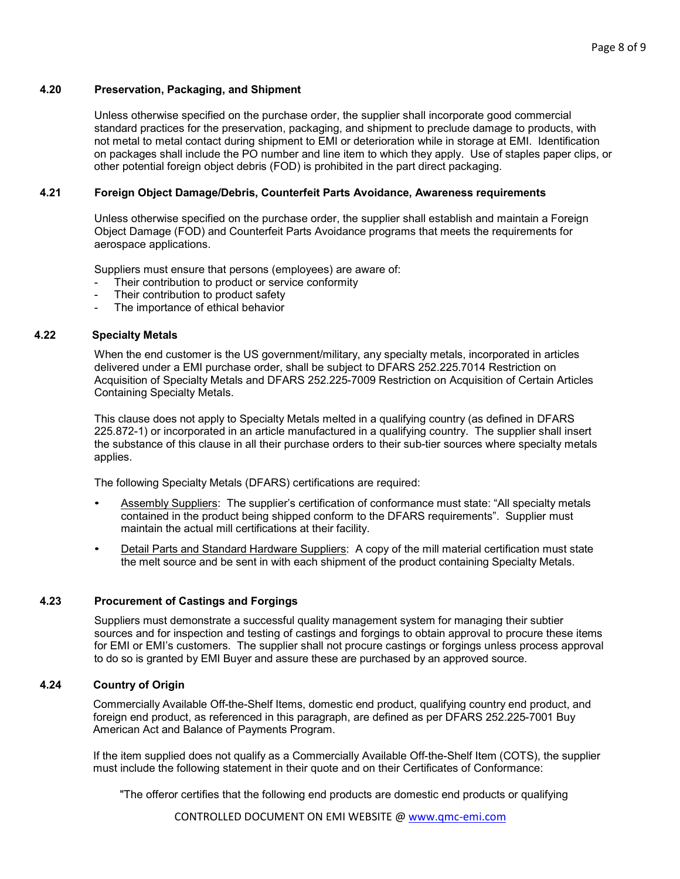#### **4.20 Preservation, Packaging, and Shipment**

Unless otherwise specified on the purchase order, the supplier shall incorporate good commercial standard practices for the preservation, packaging, and shipment to preclude damage to products, with not metal to metal contact during shipment to EMI or deterioration while in storage at EMI. Identification on packages shall include the PO number and line item to which they apply. Use of staples paper clips, or other potential foreign object debris (FOD) is prohibited in the part direct packaging.

### **4.21 Foreign Object Damage/Debris, Counterfeit Parts Avoidance, Awareness requirements**

Unless otherwise specified on the purchase order, the supplier shall establish and maintain a Foreign Object Damage (FOD) and Counterfeit Parts Avoidance programs that meets the requirements for aerospace applications.

Suppliers must ensure that persons (employees) are aware of:

- Their contribution to product or service conformity
- Their contribution to product safety
- The importance of ethical behavior

### **4.22 Specialty Metals**

When the end customer is the US government/military, any specialty metals, incorporated in articles delivered under a EMI purchase order, shall be subject to DFARS 252.225.7014 Restriction on Acquisition of Specialty Metals and DFARS 252.225-7009 Restriction on Acquisition of Certain Articles Containing Specialty Metals.

This clause does not apply to Specialty Metals melted in a qualifying country (as defined in DFARS 225.872-1) or incorporated in an article manufactured in a qualifying country. The supplier shall insert the substance of this clause in all their purchase orders to their sub-tier sources where specialty metals applies.

The following Specialty Metals (DFARS) certifications are required:

- Assembly Suppliers: The supplier's certification of conformance must state: "All specialty metals contained in the product being shipped conform to the DFARS requirements". Supplier must maintain the actual mill certifications at their facility.
- Detail Parts and Standard Hardware Suppliers: A copy of the mill material certification must state the melt source and be sent in with each shipment of the product containing Specialty Metals.

## **4.23 Procurement of Castings and Forgings**

Suppliers must demonstrate a successful quality management system for managing their subtier sources and for inspection and testing of castings and forgings to obtain approval to procure these items for EMI or EMI's customers. The supplier shall not procure castings or forgings unless process approval to do so is granted by EMI Buyer and assure these are purchased by an approved source.

## **4.24 Country of Origin**

Commercially Available Off-the-Shelf Items, domestic end product, qualifying country end product, and foreign end product, as referenced in this paragraph, are defined as per DFARS 252.225-7001 Buy American Act and Balance of Payments Program.

If the item supplied does not qualify as a Commercially Available Off-the-Shelf Item (COTS), the supplier must include the following statement in their quote and on their Certificates of Conformance:

"The offeror certifies that the following end products are domestic end products or qualifying

CONTROLLED DOCUMENT ON EMI WEBSITE @ [www.qmc-emi.com](http://www.qmc-emi.com/)